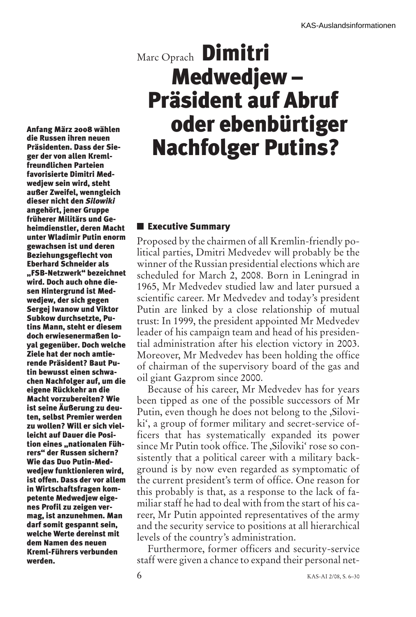# Marc Oprach **Dimitri Medwedjew – Präsident auf Abruf oder ebenbürtiger Nachfolger Putins?**

**Executive Summary**

Proposed by the chairmen of all Kremlin-friendly political parties, Dmitri Medvedev will probably be the winner of the Russian presidential elections which are scheduled for March 2, 2008. Born in Leningrad in 1965, Mr Medvedev studied law and later pursued a scientific career. Mr Medvedev and today's president Putin are linked by a close relationship of mutual trust: In 1999, the president appointed Mr Medvedev leader of his campaign team and head of his presidential administration after his election victory in 2003. Moreover, Mr Medvedev has been holding the office of chairman of the supervisory board of the gas and oil giant Gazprom since 2000.

Because of his career, Mr Medvedev has for years been tipped as one of the possible successors of Mr Putin, even though he does not belong to the ,Siloviki', a group of former military and secret-service officers that has systematically expanded its power since Mr Putin took office. The ,Siloviki' rose so consistently that a political career with a military background is by now even regarded as symptomatic of the current president's term of office. One reason for this probably is that, as a response to the lack of familiar staff he had to deal with from the start of his career, Mr Putin appointed representatives of the army and the security service to positions at all hierarchical levels of the country's administration.

Furthermore, former officers and security-service staff were given a chance to expand their personal net-

**die Russen ihren neuen Präsidenten. Dass der Sieger der von allen Kremlfreundlichen Parteien favorisierte Dimitri Medwedjew sein wird, steht außer Zweifel, wenngleich dieser nicht den** *Silowiki* **angehört, jener Gruppe früherer Militärs und Geheimdienstler, deren Macht unter Wladimir Putin enorm gewachsen ist und deren Beziehungsgeflecht von Eberhard Schneider als "FSB-Netzwerk" bezeichnet wird. Doch auch ohne diesen Hintergrund ist Medwedjew, der sich gegen Sergej Iwanow und Viktor Subkow durchsetzte, Putins Mann, steht er diesem doch erwiesenermaßen loyal gegenüber. Doch welche Ziele hat der noch amtierende Präsident? Baut Putin bewusst einen schwachen Nachfolger auf, um die eigene Rückkehr an die Macht vorzubereiten? Wie ist seine Äußerung zu deuten, selbst Premier werden zu wollen? Will er sich vielleicht auf Dauer die Position eines "nationalen Führers" der Russen sichern? Wie das Duo Putin-Medwedjew funktionieren wird, ist offen. Dass der vor allem in Wirtschaftsfragen kompetente Medwedjew eigenes Profil zu zeigen vermag, ist anzunehmen. Man darf somit gespannt sein, welche Werte dereinst mit dem Namen des neuen Kreml-Führers verbunden**

**werden.**

**Anfang März 2008 wählen**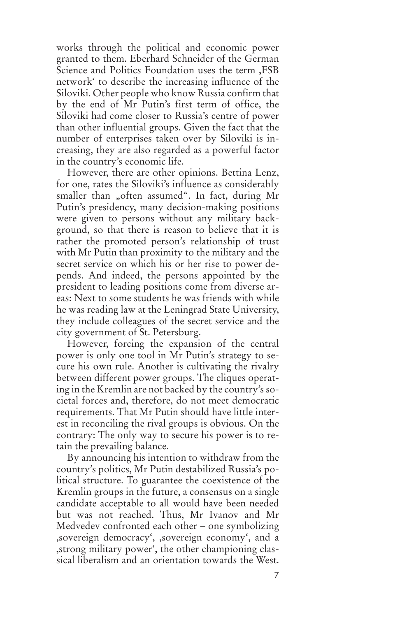works through the political and economic power granted to them. Eberhard Schneider of the German Science and Politics Foundation uses the term ,FSB network' to describe the increasing influence of the Siloviki. Other people who know Russia confirm that by the end of Mr Putin's first term of office, the Siloviki had come closer to Russia's centre of power than other influential groups. Given the fact that the number of enterprises taken over by Siloviki is increasing, they are also regarded as a powerful factor in the country's economic life.

However, there are other opinions. Bettina Lenz, for one, rates the Siloviki's influence as considerably smaller than "often assumed". In fact, during Mr Putin's presidency, many decision-making positions were given to persons without any military background, so that there is reason to believe that it is rather the promoted person's relationship of trust with Mr Putin than proximity to the military and the secret service on which his or her rise to power depends. And indeed, the persons appointed by the president to leading positions come from diverse areas: Next to some students he was friends with while he was reading law at the Leningrad State University, they include colleagues of the secret service and the city government of St. Petersburg.

However, forcing the expansion of the central power is only one tool in Mr Putin's strategy to secure his own rule. Another is cultivating the rivalry between different power groups. The cliques operating in the Kremlin are not backed by the country's societal forces and, therefore, do not meet democratic requirements. That Mr Putin should have little interest in reconciling the rival groups is obvious. On the contrary: The only way to secure his power is to retain the prevailing balance.

By announcing his intention to withdraw from the country's politics, Mr Putin destabilized Russia's political structure. To guarantee the coexistence of the Kremlin groups in the future, a consensus on a single candidate acceptable to all would have been needed but was not reached. Thus, Mr Ivanov and Mr Medvedev confronted each other – one symbolizing ,sovereign democracy', ,sovereign economy', and a ,strong military power', the other championing classical liberalism and an orientation towards the West.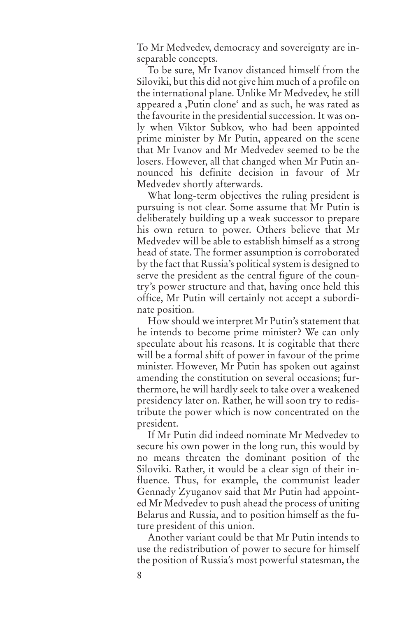To Mr Medvedev, democracy and sovereignty are inseparable concepts.

To be sure, Mr Ivanov distanced himself from the Siloviki, but this did not give him much of a profile on the international plane. Unlike Mr Medvedev, he still appeared a ,Putin clone' and as such, he was rated as the favourite in the presidential succession. It was only when Viktor Subkov, who had been appointed prime minister by Mr Putin, appeared on the scene that Mr Ivanov and Mr Medvedev seemed to be the losers. However, all that changed when Mr Putin announced his definite decision in favour of Mr Medvedev shortly afterwards.

What long-term objectives the ruling president is pursuing is not clear. Some assume that Mr Putin is deliberately building up a weak successor to prepare his own return to power. Others believe that Mr Medvedev will be able to establish himself as a strong head of state. The former assumption is corroborated by the fact that Russia's political system is designed to serve the president as the central figure of the country's power structure and that, having once held this office, Mr Putin will certainly not accept a subordinate position.

How should we interpret Mr Putin's statement that he intends to become prime minister? We can only speculate about his reasons. It is cogitable that there will be a formal shift of power in favour of the prime minister. However, Mr Putin has spoken out against amending the constitution on several occasions; furthermore, he will hardly seek to take over a weakened presidency later on. Rather, he will soon try to redistribute the power which is now concentrated on the president.

If Mr Putin did indeed nominate Mr Medvedev to secure his own power in the long run, this would by no means threaten the dominant position of the Siloviki. Rather, it would be a clear sign of their influence. Thus, for example, the communist leader Gennady Zyuganov said that Mr Putin had appointed Mr Medvedev to push ahead the process of uniting Belarus and Russia, and to position himself as the future president of this union.

Another variant could be that Mr Putin intends to use the redistribution of power to secure for himself the position of Russia's most powerful statesman, the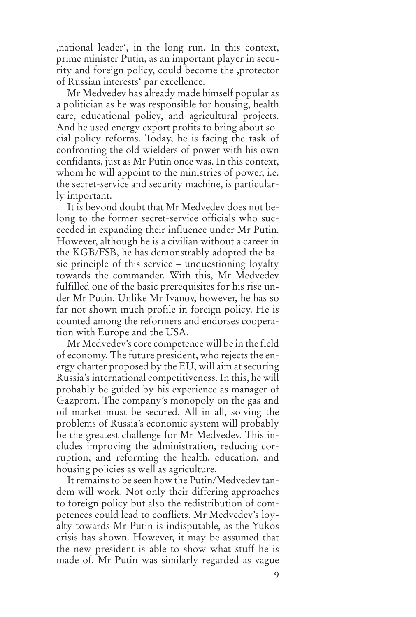,national leader', in the long run. In this context, prime minister Putin, as an important player in security and foreign policy, could become the ,protector of Russian interests' par excellence.

Mr Medvedev has already made himself popular as a politician as he was responsible for housing, health care, educational policy, and agricultural projects. And he used energy export profits to bring about social-policy reforms. Today, he is facing the task of confronting the old wielders of power with his own confidants, just as Mr Putin once was. In this context, whom he will appoint to the ministries of power, i.e. the secret-service and security machine, is particularly important.

It is beyond doubt that Mr Medvedev does not belong to the former secret-service officials who succeeded in expanding their influence under Mr Putin. However, although he is a civilian without a career in the KGB/FSB, he has demonstrably adopted the basic principle of this service – unquestioning loyalty towards the commander. With this, Mr Medvedev fulfilled one of the basic prerequisites for his rise under Mr Putin. Unlike Mr Ivanov, however, he has so far not shown much profile in foreign policy. He is counted among the reformers and endorses cooperation with Europe and the USA.

Mr Medvedev's core competence will be in the field of economy. The future president, who rejects the energy charter proposed by the EU, will aim at securing Russia's international competitiveness. In this, he will probably be guided by his experience as manager of Gazprom. The company's monopoly on the gas and oil market must be secured. All in all, solving the problems of Russia's economic system will probably be the greatest challenge for Mr Medvedev. This includes improving the administration, reducing corruption, and reforming the health, education, and housing policies as well as agriculture.

It remains to be seen how the Putin/Medvedev tandem will work. Not only their differing approaches to foreign policy but also the redistribution of competences could lead to conflicts. Mr Medvedev's loyalty towards Mr Putin is indisputable, as the Yukos crisis has shown. However, it may be assumed that the new president is able to show what stuff he is made of. Mr Putin was similarly regarded as vague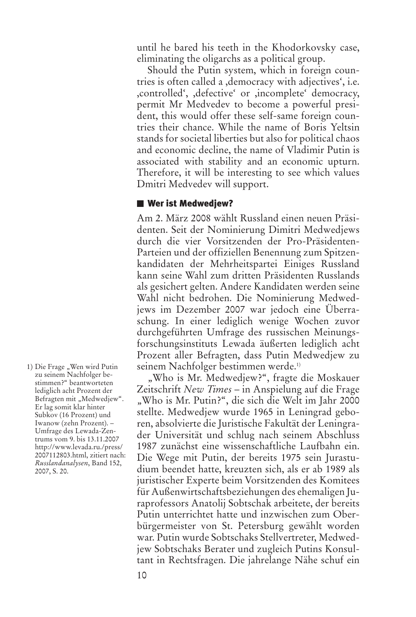until he bared his teeth in the Khodorkovsky case, eliminating the oligarchs as a political group.

Should the Putin system, which in foreign countries is often called a ,democracy with adjectives', i.e. ,controlled', ,defective' or ,incomplete' democracy, permit Mr Medvedev to become a powerful president, this would offer these self-same foreign countries their chance. While the name of Boris Yeltsin stands for societal liberties but also for political chaos and economic decline, the name of Vladimir Putin is associated with stability and an economic upturn. Therefore, it will be interesting to see which values Dmitri Medvedev will support.

## **Wer ist Medwedjew?**

Am 2. März 2008 wählt Russland einen neuen Präsidenten. Seit der Nominierung Dimitri Medwedjews durch die vier Vorsitzenden der Pro-Präsidenten-Parteien und der offiziellen Benennung zum Spitzenkandidaten der Mehrheitspartei Einiges Russland kann seine Wahl zum dritten Präsidenten Russlands als gesichert gelten. Andere Kandidaten werden seine Wahl nicht bedrohen. Die Nominierung Medwedjews im Dezember 2007 war jedoch eine Überraschung. In einer lediglich wenige Wochen zuvor durchgeführten Umfrage des russischen Meinungsforschungsinstituts Lewada äußerten lediglich acht Prozent aller Befragten, dass Putin Medwedjew zu seinem Nachfolger bestimmen werde. 1)

"Who is Mr. Medwedjew?", fragte die Moskauer Zeitschrift *New Times* – in Anspielung auf die Frage "Who is Mr. Putin?", die sich die Welt im Jahr 2000 stellte. Medwedjew wurde 1965 in Leningrad geboren, absolvierte die Juristische Fakultät der Leningrader Universität und schlug nach seinem Abschluss 1987 zunächst eine wissenschaftliche Laufbahn ein. Die Wege mit Putin, der bereits 1975 sein Jurastudium beendet hatte, kreuzten sich, als er ab 1989 als juristischer Experte beim Vorsitzenden des Komitees für Außenwirtschaftsbeziehungen des ehemaligen Juraprofessors Anatolij Sobtschak arbeitete, der bereits Putin unterrichtet hatte und inzwischen zum Oberbürgermeister von St. Petersburg gewählt worden war. Putin wurde Sobtschaks Stellvertreter, Medwedjew Sobtschaks Berater und zugleich Putins Konsultant in Rechtsfragen. Die jahrelange Nähe schuf ein

1) Die Frage "Wen wird Putin zu seinem Nachfolger bestimmen?" beantworteten lediglich acht Prozent der Befragten mit "Medwedjew". Er lag somit klar hinter Subkov (16 Prozent) und Iwanow (zehn Prozent). – Umfrage des Lewada-Zentrums vom 9. bis 13.11.2007 http://www.levada.ru./press/ 2007112803.html, zitiert nach: *Russlandanalysen*, Band 152, 2007, S. 20.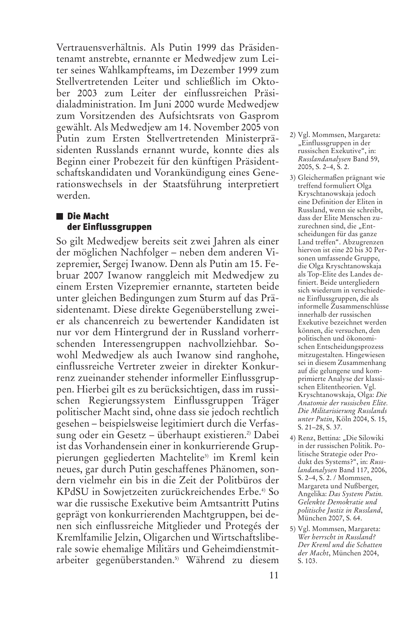Vertrauensverhältnis. Als Putin 1999 das Präsidentenamt anstrebte, ernannte er Medwedjew zum Leiter seines Wahlkampfteams, im Dezember 1999 zum Stellvertretenden Leiter und schließlich im Oktober 2003 zum Leiter der einflussreichen Präsidialadministration. Im Juni 2000 wurde Medwedjew zum Vorsitzenden des Aufsichtsrats von Gasprom gewählt. Als Medwedjew am 14. November 2005 von Putin zum Ersten Stellvertretenden Ministerpräsidenten Russlands ernannt wurde, konnte dies als Beginn einer Probezeit für den künftigen Präsidentschaftskandidaten und Vorankündigung eines Generationswechsels in der Staatsführung interpretiert werden.

# **Die Macht der Einflussgruppen**

So gilt Medwedjew bereits seit zwei Jahren als einer der möglichen Nachfolger – neben dem anderen Vizepremier, Sergej Iwanow. Denn als Putin am 15. Februar 2007 Iwanow ranggleich mit Medwedjew zu einem Ersten Vizepremier ernannte, starteten beide unter gleichen Bedingungen zum Sturm auf das Präsidentenamt. Diese direkte Gegenüberstellung zweier als chancenreich zu bewertender Kandidaten ist nur vor dem Hintergrund der in Russland vorherrschenden Interessengruppen nachvollziehbar. Sowohl Medwedjew als auch Iwanow sind ranghohe, einflussreiche Vertreter zweier in direkter Konkurrenz zueinander stehender informeller Einflussgruppen. Hierbei gilt es zu berücksichtigen, dass im russischen Regierungssystem Einflussgruppen Träger politischer Macht sind, ohne dass sie jedoch rechtlich gesehen – beispielsweise legitimiert durch die Verfassung oder ein Gesetz – überhaupt existieren. 2) Dabei ist das Vorhandensein einer in konkurrierende Gruppierungen gegliederten Machtelite<sup>3)</sup> im Kreml kein neues, gar durch Putin geschaffenes Phänomen, sondern vielmehr ein bis in die Zeit der Politbüros der KPdSU in Sowjetzeiten zurückreichendes Erbe. 4) So war die russische Exekutive beim Amtsantritt Putins geprägt von konkurrierenden Machtgruppen, bei denen sich einflussreiche Mitglieder und Protegés der Kremlfamilie Jelzin, Oligarchen und Wirtschaftsliberale sowie ehemalige Militärs und Geheimdienstmitarbeiter gegenüberstanden. 5) Während zu diesem

- 2) Vgl. Mommsen, Margareta: "Einflussgruppen in der russischen Exekutive", in: *Russlandanalysen* Band 59, 2005, S. 2–4, S. 2.
- 3) Gleichermaßen prägnant wie treffend formuliert Olga Kryschtanowskaja jedoch eine Definition der Eliten in Russland, wenn sie schreibt, dass der Elite Menschen zuzurechnen sind, die "Entscheidungen für das ganze Land treffen". Abzugrenzen hiervon ist eine 20 bis 30 Personen umfassende Gruppe, die Olga Kryschtanowskaja als Top-Elite des Landes definiert. Beide untergliedern sich wiederum in verschiedene Einflussgruppen, die als informelle Zusammenschlüsse innerhalb der russischen Exekutive bezeichnet werden können, die versuchen, den politischen und ökonomischen Entscheidungsprozess mitzugestalten. Hingewiesen sei in diesem Zusammenhang auf die gelungene und komprimierte Analyse der klassischen Elitentheorien. Vgl. Kryschtanowskaja, Olga: *Die Anatomie der russischen Elite. Die Militarisierung Russlands unter Putin*, Köln 2004, S. 15, S. 21–28, S. 37.
- 4) Renz, Bettina: "Die Silowiki in der russischen Politik. Politische Strategie oder Produkt des Systems?", in: *Russlandanalysen* Band 117, 2006, S. 2–4, S. 2. / Mommsen, Margareta und Nußberger, Angelika: *Das System Putin. Gelenkte Demokratie und politische Justiz in Russland*, München 2007, S. 64.
- 5) Vgl. Mommsen, Margareta: *Wer herrscht in Russland? Der Kreml und die Schatten der Macht*, München 2004, S. 103.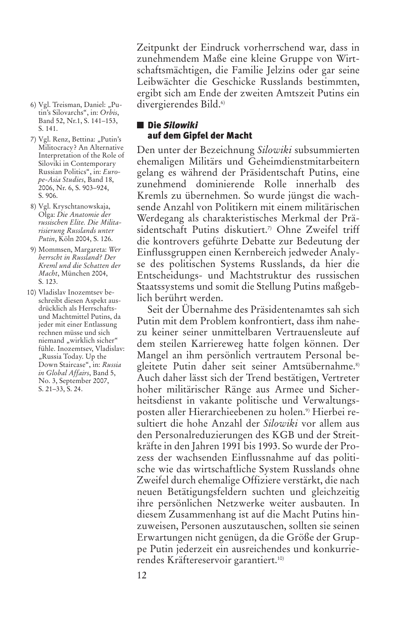Zeitpunkt der Eindruck vorherrschend war, dass in zunehmendem Maße eine kleine Gruppe von Wirtschaftsmächtigen, die Familie Jelzins oder gar seine Leibwächter die Geschicke Russlands bestimmten, ergibt sich am Ende der zweiten Amtszeit Putins ein divergierendes Bild. 6)

- 6) Vgl. Treisman, Daniel: "Putin's Silovarchs", in: *Orbis*, Band 52, Nr.1, S. 141–153, S. 141.
- 7) Vgl. Renz, Bettina: "Putin's Militocracy? An Alternative Interpretation of the Role of Siloviki in Contemporary Russian Politics", in: *Europe-Asia Studies*, Band 18, 2006, Nr. 6, S. 903–924, S. 906.
- 8) Vgl. Kryschtanowskaja, Olga: *Die Anatomie der russischen Elite. Die Militarisierung Russlands unter Putin*, Köln 2004, S. 126.
- 9) Mommsen, Margareta: *Wer herrscht in Russland? Der Kreml und die Schatten der Macht*, München 2004, S. 123.
- 10) Vladislav Inozemtsev beschreibt diesen Aspekt ausdrücklich als Herrschaftsund Machtmittel Putins, da jeder mit einer Entlassung rechnen müsse und sich niemand "wirklich sicher" fühle. Inozemtsev, Vladislav: "Russia Today. Up the Down Staircase", in: *Russia in Global Affairs*, Band 5, No. 3, September 2007, S. 21–33, S. 24.

# **Die** *Silowiki* **auf dem Gipfel der Macht**

Den unter der Bezeichnung *Silowiki* subsummierten ehemaligen Militärs und Geheimdienstmitarbeitern gelang es während der Präsidentschaft Putins, eine zunehmend dominierende Rolle innerhalb des Kremls zu übernehmen. So wurde jüngst die wachsende Anzahl von Politikern mit einem militärischen Werdegang als charakteristisches Merkmal der Präsidentschaft Putins diskutiert. 7) Ohne Zweifel triff die kontrovers geführte Debatte zur Bedeutung der Einflussgruppen einen Kernbereich jedweder Analyse des politischen Systems Russlands, da hier die Entscheidungs- und Machtstruktur des russischen Staatssystems und somit die Stellung Putins maßgeblich berührt werden.

Seit der Übernahme des Präsidentenamtes sah sich Putin mit dem Problem konfrontiert, dass ihm nahezu keiner seiner unmittelbaren Vertrauensleute auf dem steilen Karriereweg hatte folgen können. Der Mangel an ihm persönlich vertrautem Personal begleitete Putin daher seit seiner Amtsübernahme. 8) Auch daher lässt sich der Trend bestätigen, Vertreter hoher militärischer Ränge aus Armee und Sicherheitsdienst in vakante politische und Verwaltungsposten aller Hierarchieebenen zu holen. 9) Hierbei resultiert die hohe Anzahl der *Silowiki* vor allem aus den Personalreduzierungen des KGB und der Streitkräfte in den Jahren 1991 bis 1993. So wurde der Prozess der wachsenden Einflussnahme auf das politische wie das wirtschaftliche System Russlands ohne Zweifel durch ehemalige Offiziere verstärkt, die nach neuen Betätigungsfeldern suchten und gleichzeitig ihre persönlichen Netzwerke weiter ausbauten. In diesem Zusammenhang ist auf die Macht Putins hinzuweisen, Personen auszutauschen, sollten sie seinen Erwartungen nicht genügen, da die Größe der Gruppe Putin jederzeit ein ausreichendes und konkurrierendes Kräftereservoir garantiert. 10)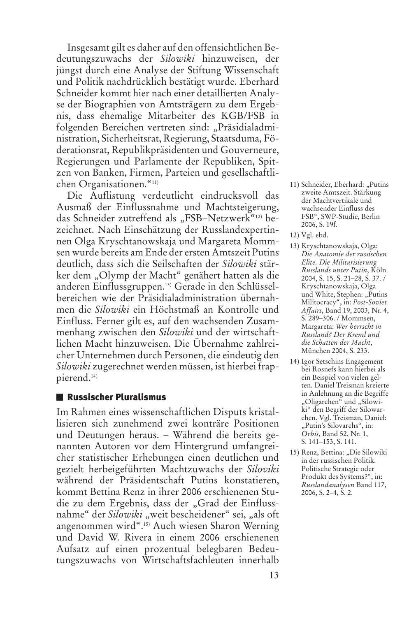Insgesamt gilt es daher auf den offensichtlichen Bedeutungszuwachs der *Silowiki* hinzuweisen, der jüngst durch eine Analyse der Stiftung Wissenschaft und Politik nachdrücklich bestätigt wurde. Eberhard Schneider kommt hier nach einer detaillierten Analyse der Biographien von Amtsträgern zu dem Ergebnis, dass ehemalige Mitarbeiter des KGB/FSB in folgenden Bereichen vertreten sind: "Präsidialadministration, Sicherheitsrat, Regierung, Staatsduma, Föderationsrat, Republikpräsidenten und Gouverneure, Regierungen und Parlamente der Republiken, Spitzen von Banken, Firmen, Parteien und gesellschaftlichen Organisationen."11)

Die Auflistung verdeutlicht eindrucksvoll das Ausmaß der Einflussnahme und Machtsteigerung, das Schneider zutreffend als "FSB–Netzwerk"<sup>12)</sup> bezeichnet. Nach Einschätzung der Russlandexpertinnen Olga Kryschtanowskaja und Margareta Mommsen wurde bereits am Ende der ersten Amtszeit Putins deutlich, dass sich die Seilschaften der *Silowiki* stärker dem "Olymp der Macht" genähert hatten als die anderen Einflussgruppen. 13) Gerade in den Schlüsselbereichen wie der Präsidialadministration übernahmen die *Silowiki* ein Höchstmaß an Kontrolle und Einfluss. Ferner gilt es, auf den wachsenden Zusammenhang zwischen den *Silowiki* und der wirtschaftlichen Macht hinzuweisen. Die Übernahme zahlreicher Unternehmen durch Personen, die eindeutig den *Silowiki* zugerechnet werden müssen, ist hierbei frappierend. 14)

#### **Russischer Pluralismus**

Im Rahmen eines wissenschaftlichen Disputs kristallisieren sich zunehmend zwei konträre Positionen und Deutungen heraus. – Während die bereits genannten Autoren vor dem Hintergrund umfangreicher statistischer Erhebungen einen deutlichen und gezielt herbeigeführten Machtzuwachs der *Siloviki* während der Präsidentschaft Putins konstatieren, kommt Bettina Renz in ihrer 2006 erschienenen Studie zu dem Ergebnis, dass der "Grad der Einflussnahme" der *Silowiki* "weit bescheidener" sei, "als oft angenommen wird". 15) Auch wiesen Sharon Werning und David W. Rivera in einem 2006 erschienenen Aufsatz auf einen prozentual belegbaren Bedeutungszuwachs von Wirtschaftsfachleuten innerhalb

- 11) Schneider, Eberhard: "Putins zweite Amtszeit. Stärkung der Machtvertikale und wachsender Einfluss des FSB", SWP-Studie, Berlin 2006, S. 19f.
- 12) Vgl. ebd.
- 13) Kryschtanowskaja, Olga: *Die Anatomie der russischen Elite. Die Militarisierung Russlands unter Putin*, Köln 2004, S. 15, S. 21–28, S. 37. / Kryschtanowskaja, Olga und White, Stephen: "Putins Militocracy", in: *Post-Soviet Affairs*, Band 19, 2003, Nr. 4, S. 289–306. / Mommsen, Margareta: *Wer herrscht in Russland? Der Kreml und die Schatten der Macht*, München 2004, S. 233.
- 14) Igor Setschins Engagement bei Rosnefs kann hierbei als ein Beispiel von vielen gelten. Daniel Treisman kreierte in Anlehnung an die Begriffe "Oligarchen" und "Silowiki" den Begriff der Silowarchen. Vgl. Treisman, Daniel: "Putin's Silovarchs", in: *Orbis*, Band 52, Nr. 1, S. 141–153, S. 141.
- 15) Renz, Bettina: "Die Silowiki in der russischen Politik. Politische Strategie oder Produkt des Systems?", in: *Russlandanalysen* Band 117, 2006, S. 2–4, S. 2.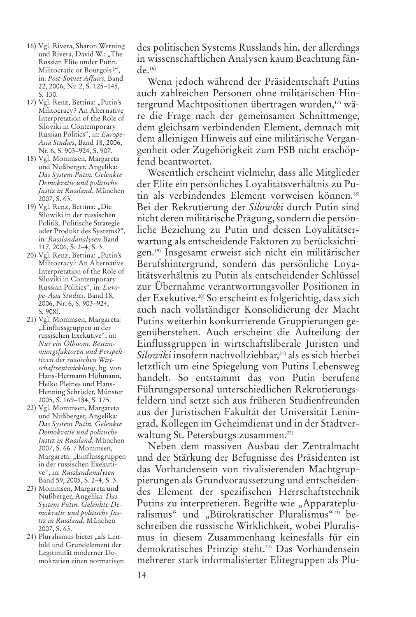- 16) Vgl. Rivera, Sharon Werning und Rivera, David W.: "The Russian Elite under Putin. Militocratic or Bourgois?" in: *Post-Soviet Affairs*, Band 22, 2006, Nr. 2, S. 125–145, S. 130.
- 17) Vgl. Renz, Bettina: "Putin's Militocracy? An Alternative Interpretation of the Role of Siloviki in Contemporary Russian Politics", in: *Europe-Asia Studies*, Band 18, 2006, Nr. 6, S. 903–924, S. 907.
- 18) Vgl. Mommsen, Margareta und Nußberger, Angelika: *Das System Putin. Gelenkte Demokratie und politische Justiz in Russland*, München 2007, S. 63.
- 19) Vgl. Renz, Bettina: "Die Silowiki in der russischen Politik. Politische Strategie oder Produkt des Systems?", in: *Russlandanalysen* Band 117, 2006, S. 2–4, S. 3.
- 20) Vgl. Renz, Bettina: "Putin's Militocracy? An Alternative Interpretation of the Role of Siloviki in Contemporary Russian Politics", in: *Europe-Asia Studies*, Band 18, 2006, Nr. 6, S. 903–924, S. 908f.
- 21) Vgl. Mommsen, Margareta: "Einflussgruppen in der russischen Exekutive", in: *Nur ein Ölboom. Bestimmungsfaktoren und Perspektiven der russischen Wirtschaftsentwicklung*, hg. von Hans-Hermann Höhmann, Heiko Pleines und Hans-Henning Schröder, Münster 2005, S. 169–184, S. 175.
- 22) Vgl. Mommsen, Margareta und Nußberger, Angelika: *Das System Putin. Gelenkte Demokratie und politische Justiz in Russland*, München 2007, S. 66. / Mommsen, Margareta: "Einflussgruppen in der russischen Exekutive", in: *Russlandanalysen* Band 59, 2005, S. 2–4, S. 3.
- 23) Mommsen, Margareta und Nußberger, Angelika: *Das System Putin. Gelenkte Demokratie und politische Justiz in Russland*, München 2007, S. 63.
- 24) Pluralismus bietet "als Leitbild und Grundelement der Legitimität moderner Demokratien einen normativen

des politischen Systems Russlands hin, der allerdings in wissenschaftlichen Analysen kaum Beachtung fän $de^{16}$ 

Wenn jedoch während der Präsidentschaft Putins auch zahlreichen Personen ohne militärischen Hintergrund Machtpositionen übertragen wurden, 17) wäre die Frage nach der gemeinsamen Schnittmenge, dem gleichsam verbindenden Element, demnach mit dem alleinigen Hinweis auf eine militärische Vergangenheit oder Zugehörigkeit zum FSB nicht erschöpfend beantwortet.

Wesentlich erscheint vielmehr, dass alle Mitglieder der Elite ein persönliches Loyalitätsverhältnis zu Putin als verbindendes Element vorweisen können. 18) Bei der Rekrutierung der *Silowiki* durch Putin sind nicht deren militärische Prägung, sondern die persönliche Beziehung zu Putin und dessen Loyalitätserwartung als entscheidende Faktoren zu berücksichtigen. 19) Insgesamt erweist sich nicht ein militärischer Berufshintergrund, sondern das persönliche Loyalitätsverhältnis zu Putin als entscheidender Schlüssel zur Übernahme verantwortungsvoller Positionen in der Exekutive. 20) So erscheint es folgerichtig, dass sich auch nach vollständiger Konsolidierung der Macht Putins weiterhin konkurrierende Gruppierungen gegenüberstehen. Auch erscheint die Aufteilung der Einflussgruppen in wirtschaftsliberale Juristen und *Silowiki* insofern nachvollziehbar, 21) als es sich hierbei letztlich um eine Spiegelung von Putins Lebensweg handelt. So entstammt das von Putin berufene Führungspersonal unterschiedlichen Rekrutierungsfeldern und setzt sich aus früheren Studienfreunden aus der Juristischen Fakultät der Universität Leningrad, Kollegen im Geheimdienst und in der Stadtverwaltung St. Petersburgs zusammen. 22)

Neben dem massiven Ausbau der Zentralmacht und der Stärkung der Befugnisse des Präsidenten ist das Vorhandensein von rivalisierenden Machtgruppierungen als Grundvoraussetzung und entscheidendes Element der spezifischen Herrschaftstechnik Putins zu interpretieren. Begriffe wie "Apparatepluralismus" und "Bürokratischer Pluralismus"23) beschreiben die russische Wirklichkeit, wobei Pluralismus in diesem Zusammenhang keinesfalls für ein demokratisches Prinzip steht. 24) Das Vorhandensein mehrerer stark informalisierter Elitegruppen als Plu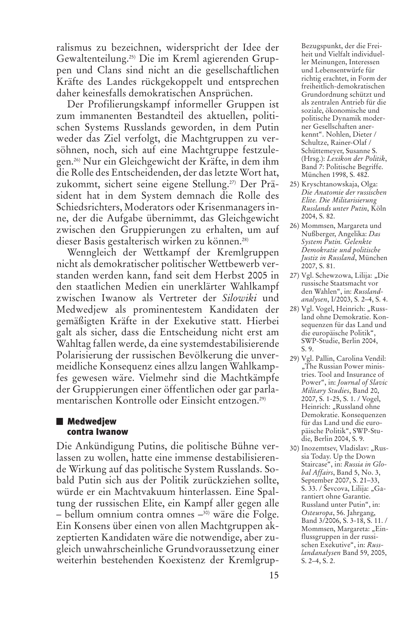ralismus zu bezeichnen, widerspricht der Idee der Gewaltenteilung. 25) Die im Kreml agierenden Gruppen und Clans sind nicht an die gesellschaftlichen Kräfte des Landes rückgekoppelt und entsprechen daher keinesfalls demokratischen Ansprüchen.

Der Profilierungskampf informeller Gruppen ist zum immanenten Bestandteil des aktuellen, politischen Systems Russlands geworden, in dem Putin weder das Ziel verfolgt, die Machtgruppen zu versöhnen, noch, sich auf eine Machtgruppe festzulegen. 26) Nur ein Gleichgewicht der Kräfte, in dem ihm die Rolle des Entscheidenden, der dasletzte Wort hat, zukommt, sichert seine eigene Stellung. 27) Der Präsident hat in dem System demnach die Rolle des Schiedsrichters, Moderators oder Krisenmanagers inne, der die Aufgabe übernimmt, das Gleichgewicht zwischen den Gruppierungen zu erhalten, um auf dieser Basis gestalterisch wirken zu können. 28)

Wenngleich der Wettkampf der Kremlgruppen nicht als demokratischer politischer Wettbewerb verstanden werden kann, fand seit dem Herbst 2005 in den staatlichen Medien ein unerklärter Wahlkampf zwischen Iwanow als Vertreter der *Silowiki* und Medwedjew als prominentestem Kandidaten der gemäßigten Kräfte in der Exekutive statt. Hierbei galt als sicher, dass die Entscheidung nicht erst am Wahltag fallen werde, da eine systemdestabilisierende Polarisierung der russischen Bevölkerung die unvermeidliche Konsequenz eines allzu langen Wahlkampfes gewesen wäre. Vielmehr sind die Machtkämpfe der Gruppierungen einer öffentlichen oder gar parlamentarischen Kontrolle oder Einsicht entzogen. 29)

#### **Medwedjew contra Iwanow**

Die Ankündigung Putins, die politische Bühne verlassen zu wollen, hatte eine immense destabilisierende Wirkung auf das politische System Russlands. Sobald Putin sich aus der Politik zurückziehen sollte, würde er ein Machtvakuum hinterlassen. Eine Spaltung der russischen Elite, ein Kampf aller gegen alle – bellum omnium contra omnes –<sup>30)</sup> wäre die Folge. Ein Konsens über einen von allen Machtgruppen akzeptierten Kandidaten wäre die notwendige, aber zugleich unwahrscheinliche Grundvoraussetzung einer weiterhin bestehenden Koexistenz der KremlgrupBezugspunkt, der die Freiheit und Vielfalt individueller Meinungen, Interessen und Lebensentwürfe für richtig erachtet, in Form der freiheitlich-demokratischen Grundordnung schützt und als zentralen Antrieb für die soziale, ökonomische und politische Dynamik moderner Gesellschaften anerkennt". Nohlen, Dieter / Schultze, Rainer-Olaf / Schüttemeyer, Susanne S. (Hrsg.): *Lexikon der Politik*, Band 7: Politische Begriffe. München 1998, S. 482.

- 25) Kryschtanowskaja, Olga: *Die Anatomie der russischen Elite. Die Militarisierung Russlands unter Putin*, Köln 2004, S. 82.
- 26) Mommsen, Margareta und Nußberger, Angelika: *Das System Putin. Gelenkte Demokratie und politische Justiz in Russland*, München 2007, S. 81.
- 27) Vgl. Schewzowa, Lilija: "Die russische Staatsmacht vor den Wahlen", in: *Russlandanalysen*, I/2003, S. 2–4, S. 4.
- 28) Vgl. Vogel, Heinrich: "Russland ohne Demokratie. Konsequenzen für das Land und die europäische Politik", SWP-Studie, Berlin 2004, S. 9.
- 29) Vgl. Pallin, Carolina Vendil: "The Russian Power ministries. Tool and Insurance of Power", in: *Journal of Slavic Military Studies*, Band 20, 2007, S. 1-25, S. 1. / Vogel, Heinrich: "Russland ohne Demokratie. Konsequenzen für das Land und die europäische Politik", SWP-Studie, Berlin 2004, S. 9.
- 30) Inozemtsev, Vladislav: "Russia Today. Up the Down Staircase", in: *Russia in Global Affairs*, Band 5, No. 3, September 2007, S. 21–33, S. 33. / Ševcova, Lilija: "Garantiert ohne Garantie. Russland unter Putin", in: *Osteuropa*, 56. Jahrgang, Band 3/2006, S. 3-18, S. 11. / Mommsen, Margareta: "Einflussgruppen in der russischen Exekutive", in: *Russlandanalysen* Band 59, 2005, S. 2–4, S. 2.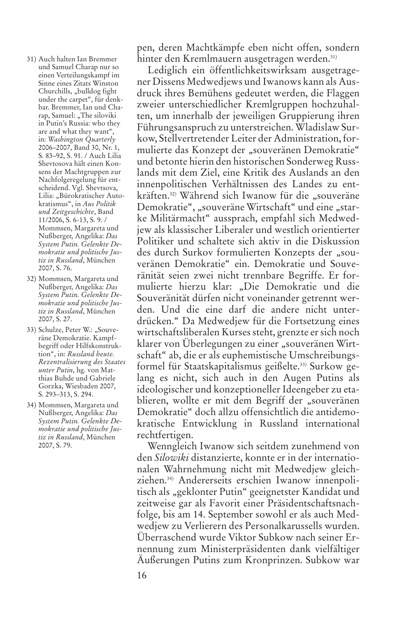- 31) Auch halten Ian Bremmer und Samuel Charap nur so einen Verteilungskampf im Sinne eines Zitats Winston Churchills, "bulldog fight under the carpet", für denkbar. Bremmer, Ian und Charap, Samuel: "The siloviki in Putin's Russia: who they are and what they want", in: *Washington Quarterly* 2006–2007, Band 30, Nr. 1, S. 83–92, S. 91. / Auch Lilia Shevtosova hält einen Konsens der Machtgruppen zur Nachfolgeregelung für entscheidend. Vgl. Shevtsova, Lilia: "Bürokratischer Autokratismus", in *Aus Politik und Zeitgeschichte*, Band 11/2006, S. 6-13, S. 9. / Mommsen, Margareta und Nußberger, Angelika: *Das System Putin. Gelenkte Demokratie und politische Justiz in Russland*, München 2007, S. 76.
- 32) Mommsen, Margareta und Nußberger, Angelika: *Das System Putin. Gelenkte Demokratie und politische Justiz in Russland*, München 2007, S. 27.
- 33) Schulze, Peter W.: "Souveräne Demokratie. Kampfbegriff oder Hilfskonstruktion", in: *Russland heute. Rezentralisierung des Staates unter Putin*, hg. von Matthias Buhde und Gabriele Gorzka, Wiesbaden 2007, S. 293–313, S. 294.
- 34) Mommsen, Margareta und Nußberger, Angelika: *Das System Putin. Gelenkte Demokratie und politische Justiz in Russland*, München 2007, S. 79.

pen, deren Machtkämpfe eben nicht offen, sondern hinter den Kremlmauern ausgetragen werden. 31)

Lediglich ein öffentlichkeitswirksam ausgetragener Dissens Medwedjews und Iwanows kann als Ausdruck ihres Bemühens gedeutet werden, die Flaggen zweier unterschiedlicher Kremlgruppen hochzuhalten, um innerhalb der jeweiligen Gruppierung ihren Führungsanspruch zu unterstreichen. Wladislaw Surkow, Stellvertretender Leiter der Administration, formulierte das Konzept der "souveränen Demokratie" und betonte hierin den historischen Sonderweg Russlands mit dem Ziel, eine Kritik des Auslands an den innenpolitischen Verhältnissen des Landes zu entkräften.<sup>32)</sup> Während sich Iwanow für die "souveräne Demokratie", "souveräne Wirtschaft" und eine "starke Militärmacht" aussprach, empfahl sich Medwedjew als klassischer Liberaler und westlich orientierter Politiker und schaltete sich aktiv in die Diskussion des durch Surkov formulierten Konzepts der "souveränen Demokratie" ein. Demokratie und Souveränität seien zwei nicht trennbare Begriffe. Er formulierte hierzu klar: "Die Demokratie und die Souveränität dürfen nicht voneinander getrennt werden. Und die eine darf die andere nicht unterdrücken." Da Medwedjew für die Fortsetzung eines wirtschaftsliberalen Kurses steht, grenzte er sich noch klarer von Überlegungen zu einer "souveränen Wirtschaft" ab, die er als euphemistische Umschreibungsformel für Staatskapitalismus geißelte. 33) Surkow gelang es nicht, sich auch in den Augen Putins als ideologischer und konzeptioneller Ideengeber zu etablieren, wollte er mit dem Begriff der "souveränen Demokratie" doch allzu offensichtlich die antidemokratische Entwicklung in Russland international rechtfertigen.

Wenngleich Iwanow sich seitdem zunehmend von den *Silowiki* distanzierte, konnte er in der internationalen Wahrnehmung nicht mit Medwedjew gleichziehen. 34) Andererseits erschien Iwanow innenpolitisch als "geklonter Putin" geeignetster Kandidat und zeitweise gar als Favorit einer Präsidentschaftsnachfolge, bis am 14. September sowohl er als auch Medwedjew zu Verlierern des Personalkarussells wurden. Überraschend wurde Viktor Subkow nach seiner Ernennung zum Ministerpräsidenten dank vielfältiger Äußerungen Putins zum Kronprinzen. Subkow war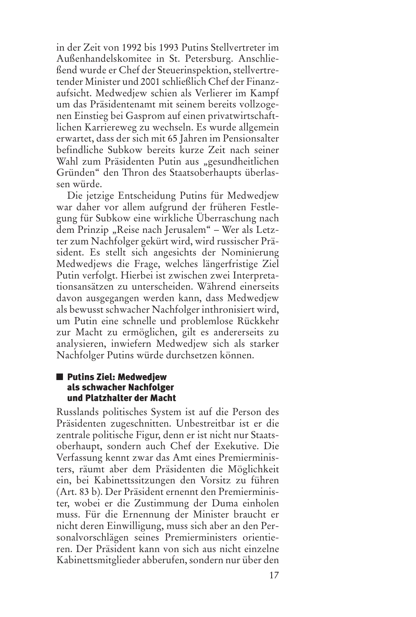in der Zeit von 1992 bis 1993 Putins Stellvertreter im Außenhandelskomitee in St. Petersburg. Anschließend wurde er Chef der Steuerinspektion, stellvertretender Minister und 2001 schließlich Chef der Finanzaufsicht. Medwedjew schien als Verlierer im Kampf um das Präsidentenamt mit seinem bereits vollzogenen Einstieg bei Gasprom auf einen privatwirtschaftlichen Karriereweg zu wechseln. Es wurde allgemein erwartet, dass der sich mit 65 Jahren im Pensionsalter befindliche Subkow bereits kurze Zeit nach seiner Wahl zum Präsidenten Putin aus "gesundheitlichen Gründen" den Thron des Staatsoberhaupts überlassen würde.

Die jetzige Entscheidung Putins für Medwedjew war daher vor allem aufgrund der früheren Festlegung für Subkow eine wirkliche Überraschung nach dem Prinzip "Reise nach Jerusalem" – Wer als Letzter zum Nachfolger gekürt wird, wird russischer Präsident. Es stellt sich angesichts der Nominierung Medwedjews die Frage, welches längerfristige Ziel Putin verfolgt. Hierbei ist zwischen zwei Interpretationsansätzen zu unterscheiden. Während einerseits davon ausgegangen werden kann, dass Medwedjew als bewusst schwacher Nachfolger inthronisiert wird, um Putin eine schnelle und problemlose Rückkehr zur Macht zu ermöglichen, gilt es andererseits zu analysieren, inwiefern Medwedjew sich als starker Nachfolger Putins würde durchsetzen können.

## **Putins Ziel: Medwedjew als schwacher Nachfolger und Platzhalter der Macht**

Russlands politisches System ist auf die Person des Präsidenten zugeschnitten. Unbestreitbar ist er die zentrale politische Figur, denn er ist nicht nur Staatsoberhaupt, sondern auch Chef der Exekutive. Die Verfassung kennt zwar das Amt eines Premierministers, räumt aber dem Präsidenten die Möglichkeit ein, bei Kabinettssitzungen den Vorsitz zu führen (Art. 83 b). Der Präsident ernennt den Premierminister, wobei er die Zustimmung der Duma einholen muss. Für die Ernennung der Minister braucht er nicht deren Einwilligung, muss sich aber an den Personalvorschlägen seines Premierministers orientieren. Der Präsident kann von sich aus nicht einzelne Kabinettsmitglieder abberufen, sondern nur über den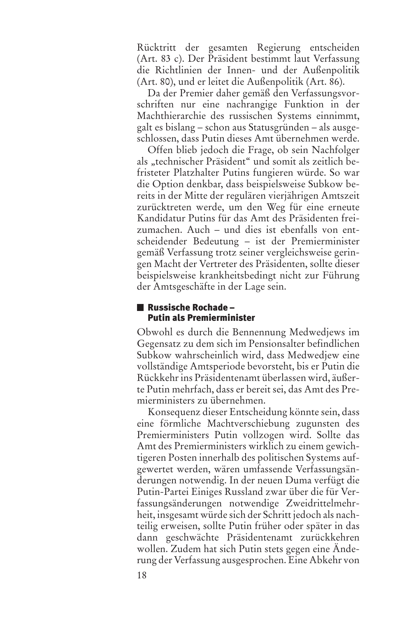Rücktritt der gesamten Regierung entscheiden (Art. 83 c). Der Präsident bestimmt laut Verfassung die Richtlinien der Innen- und der Außenpolitik (Art. 80), und er leitet die Außenpolitik (Art. 86).

Da der Premier daher gemäß den Verfassungsvorschriften nur eine nachrangige Funktion in der Machthierarchie des russischen Systems einnimmt, galt es bislang – schon aus Statusgründen – als ausgeschlossen, dass Putin dieses Amt übernehmen werde.

Offen blieb jedoch die Frage, ob sein Nachfolger als "technischer Präsident" und somit als zeitlich befristeter Platzhalter Putins fungieren würde. So war die Option denkbar, dass beispielsweise Subkow bereits in der Mitte der regulären vierjährigen Amtszeit zurücktreten werde, um den Weg für eine erneute Kandidatur Putins für das Amt des Präsidenten freizumachen. Auch – und dies ist ebenfalls von entscheidender Bedeutung – ist der Premierminister gemäß Verfassung trotz seiner vergleichsweise geringen Macht der Vertreter des Präsidenten, sollte dieser beispielsweise krankheitsbedingt nicht zur Führung der Amtsgeschäfte in der Lage sein.

## **Russische Rochade – Putin als Premierminister**

Obwohl es durch die Bennennung Medwedjews im Gegensatz zu dem sich im Pensionsalter befindlichen Subkow wahrscheinlich wird, dass Medwedjew eine vollständige Amtsperiode bevorsteht, bis er Putin die Rückkehrins Präsidentenamt überlassen wird, äußerte Putin mehrfach, dass er bereit sei, das Amt des Premierministers zu übernehmen.

Konsequenz dieser Entscheidung könnte sein, dass eine förmliche Machtverschiebung zugunsten des Premierministers Putin vollzogen wird. Sollte das Amt des Premierministers wirklich zu einem gewichtigeren Posten innerhalb des politischen Systems aufgewertet werden, wären umfassende Verfassungsänderungen notwendig. In der neuen Duma verfügt die Putin-Partei Einiges Russland zwar über die für Verfassungsänderungen notwendige Zweidrittelmehrheit, insgesamt würde sich der Schritt jedoch als nachteilig erweisen, sollte Putin früher oder später in das dann geschwächte Präsidentenamt zurückkehren wollen. Zudem hat sich Putin stets gegen eine Änderung der Verfassung ausgesprochen. Eine Abkehr von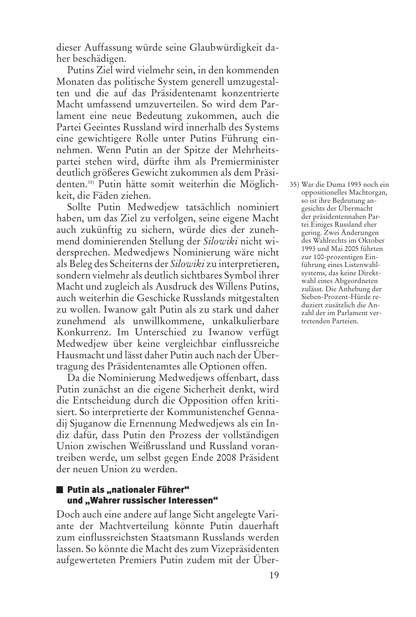dieser Auffassung würde seine Glaubwürdigkeit daher beschädigen.

Putins Ziel wird vielmehr sein, in den kommenden Monaten das politische System generell umzugestalten und die auf das Präsidentenamt konzentrierte Macht umfassend umzuverteilen. So wird dem Parlament eine neue Bedeutung zukommen, auch die Partei Geeintes Russland wird innerhalb des Systems eine gewichtigere Rolle unter Putins Führung einnehmen. Wenn Putin an der Spitze der Mehrheitspartei stehen wird, dürfte ihm als Premierminister deutlich größeres Gewicht zukommen als dem Präsidenten. 35) Putin hätte somit weiterhin die Möglichkeit, die Fäden ziehen.

Sollte Putin Medwedjew tatsächlich nominiert haben, um das Ziel zu verfolgen, seine eigene Macht auch zukünftig zu sichern, würde dies der zunehmend dominierenden Stellung der *Silowiki* nicht widersprechen. Medwedjews Nominierung wäre nicht als Beleg des Scheiterns der *Silowiki* zu interpretieren, sondern vielmehr als deutlich sichtbares Symbol ihrer Macht und zugleich als Ausdruck des Willens Putins, auch weiterhin die Geschicke Russlands mitgestalten zu wollen. Iwanow galt Putin als zu stark und daher zunehmend als unwillkommene, unkalkulierbare Konkurrenz. Im Unterschied zu Iwanow verfügt Medwedjew über keine vergleichbar einflussreiche Hausmacht und lässt daher Putin auch nach der Übertragung des Präsidentenamtes alle Optionen offen.

Da die Nominierung Medwedjews offenbart, dass Putin zunächst an die eigene Sicherheit denkt, wird die Entscheidung durch die Opposition offen kritisiert. So interpretierte der Kommunistenchef Gennadij Sjuganow die Ernennung Medwedjews als ein Indiz dafür, dass Putin den Prozess der vollständigen Union zwischen Weißrussland und Russland vorantreiben werde, um selbst gegen Ende 2008 Präsident der neuen Union zu werden.

## **Putin als "nationaler Führer" und "Wahrer russischer Interessen"**

Doch auch eine andere auf lange Sicht angelegte Variante der Machtverteilung könnte Putin dauerhaft zum einflussreichsten Staatsmann Russlands werden lassen. So könnte die Macht des zum Vizepräsidenten aufgewerteten Premiers Putin zudem mit der Über35) War die Duma 1993 noch ein oppositionelles Machtorgan, so ist ihre Bedeutung angesichts der Übermacht der präsidentennahen Partei Einiges Russland eher gering. Zwei Änderungen des Wahlrechts im Oktober 1993 und Mai 2005 führten zur 100-prozentigen Einführung eines Listenwahlsystems, das keine Direktwahl eines Abgeordneten zulässt. Die Anhebung der Sieben-Prozent-Hürde reduziert zusätzlich die Anzahl der im Parlament vertretenden Parteien.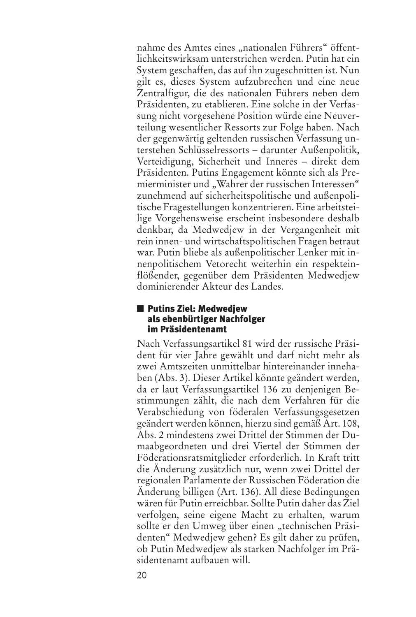nahme des Amtes eines "nationalen Führers" öffentlichkeitswirksam unterstrichen werden. Putin hat ein System geschaffen, das auf ihn zugeschnitten ist. Nun gilt es, dieses System aufzubrechen und eine neue Zentralfigur, die des nationalen Führers neben dem Präsidenten, zu etablieren. Eine solche in der Verfassung nicht vorgesehene Position würde eine Neuverteilung wesentlicher Ressorts zur Folge haben. Nach der gegenwärtig geltenden russischen Verfassung unterstehen Schlüsselressorts – darunter Außenpolitik, Verteidigung, Sicherheit und Inneres – direkt dem Präsidenten. Putins Engagement könnte sich als Premierminister und "Wahrer der russischen Interessen" zunehmend auf sicherheitspolitische und außenpolitische Fragestellungen konzentrieren. Eine arbeitsteilige Vorgehensweise erscheint insbesondere deshalb denkbar, da Medwedjew in der Vergangenheit mit rein innen- und wirtschaftspolitischen Fragen betraut war. Putin bliebe als außenpolitischer Lenker mit innenpolitischem Vetorecht weiterhin ein respekteinflößender, gegenüber dem Präsidenten Medwedjew dominierender Akteur des Landes.

#### **Putins Ziel: Medwedjew als ebenbürtiger Nachfolger im Präsidentenamt**

Nach Verfassungsartikel 81 wird der russische Präsident für vier Jahre gewählt und darf nicht mehr als zwei Amtszeiten unmittelbar hintereinander innehaben (Abs. 3). Dieser Artikel könnte geändert werden, da er laut Verfassungsartikel 136 zu denjenigen Bestimmungen zählt, die nach dem Verfahren für die Verabschiedung von föderalen Verfassungsgesetzen geändert werden können, hierzu sind gemäß Art. 108, Abs. 2 mindestens zwei Drittel der Stimmen der Dumaabgeordneten und drei Viertel der Stimmen der Föderationsratsmitglieder erforderlich. In Kraft tritt die Änderung zusätzlich nur, wenn zwei Drittel der regionalen Parlamente der Russischen Föderation die Änderung billigen (Art. 136). All diese Bedingungen wären für Putin erreichbar. Sollte Putin daher das Ziel verfolgen, seine eigene Macht zu erhalten, warum sollte er den Umweg über einen "technischen Präsidenten" Medwedjew gehen? Es gilt daher zu prüfen, ob Putin Medwedjew als starken Nachfolger im Präsidentenamt aufbauen will.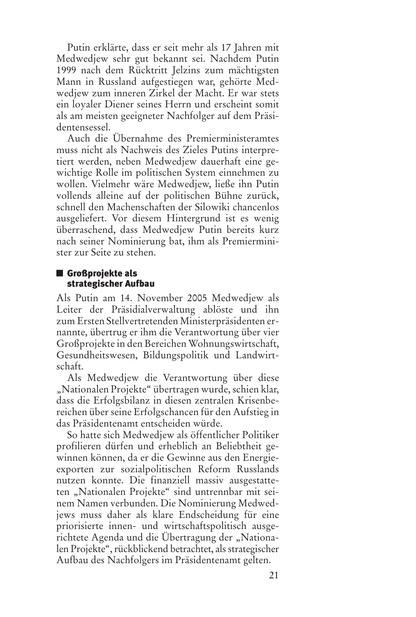Putin erklärte, dass er seit mehr als 17 Jahren mit Medwedjew sehr gut bekannt sei. Nachdem Putin 1999 nach dem Rücktritt Jelzins zum mächtigsten Mann in Russland aufgestiegen war, gehörte Medwedjew zum inneren Zirkel der Macht. Er war stets ein loyaler Diener seines Herrn und erscheint somit als am meisten geeigneter Nachfolger auf dem Präsidentensessel.

Auch die Übernahme des Premierministeramtes muss nicht als Nachweis des Zieles Putins interpretiert werden, neben Medwedjew dauerhaft eine gewichtige Rolle im politischen System einnehmen zu wollen. Vielmehr wäre Medwedjew, ließe ihn Putin vollends alleine auf der politischen Bühne zurück, schnell den Machenschaften der Silowiki chancenlos ausgeliefert. Vor diesem Hintergrund ist es wenig überraschend, dass Medwedjew Putin bereits kurz nach seiner Nominierung bat, ihm als Premierminister zur Seite zu stehen.

# **Großprojekte als strategischer Aufbau**

Als Putin am 14. November 2005 Medwedjew als Leiter der Präsidialverwaltung ablöste und ihn zum Ersten Stellvertretenden Ministerpräsidenten ernannte, übertrug er ihm die Verantwortung über vier Großprojekte in den Bereichen Wohnungswirtschaft, Gesundheitswesen, Bildungspolitik und Landwirtschaft.

Als Medwedjew die Verantwortung über diese "Nationalen Projekte" übertragen wurde, schien klar, dass die Erfolgsbilanz in diesen zentralen Krisenbereichen über seine Erfolgschancen für den Aufstieg in das Präsidentenamt entscheiden würde.

So hatte sich Medwedjew als öffentlicher Politiker profilieren dürfen und erheblich an Beliebtheit gewinnen können, da er die Gewinne aus den Energieexporten zur sozialpolitischen Reform Russlands nutzen konnte. Die finanziell massiv ausgestatteten "Nationalen Projekte" sind untrennbar mit seinem Namen verbunden. Die Nominierung Medwedjews muss daher als klare Endscheidung für eine priorisierte innen- und wirtschaftspolitisch ausgerichtete Agenda und die Übertragung der "Nationalen Projekte", rückblickend betrachtet, als strategischer Aufbau des Nachfolgers im Präsidentenamt gelten.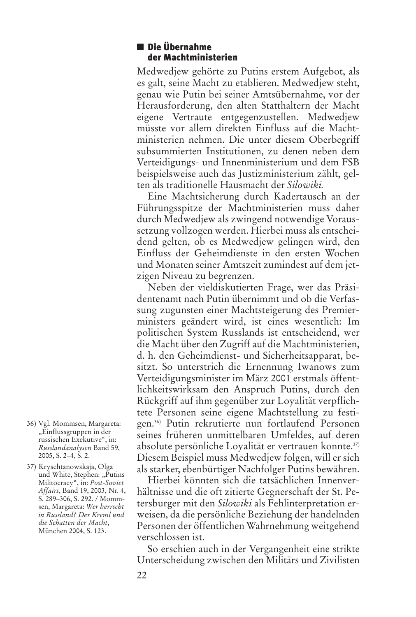#### **Die Übernahme der Machtministerien**

Medwedjew gehörte zu Putins erstem Aufgebot, als es galt, seine Macht zu etablieren. Medwedjew steht, genau wie Putin bei seiner Amtsübernahme, vor der Herausforderung, den alten Statthaltern der Macht eigene Vertraute entgegenzustellen. Medwedjew müsste vor allem direkten Einfluss auf die Machtministerien nehmen. Die unter diesem Oberbegriff subsummierten Institutionen, zu denen neben dem Verteidigungs- und Innenministerium und dem FSB beispielsweise auch das Justizministerium zählt, gelten als traditionelle Hausmacht der *Silowiki.*

Eine Machtsicherung durch Kadertausch an der Führungsspitze der Machtministerien muss daher durch Medwedjew als zwingend notwendige Voraussetzung vollzogen werden. Hierbei muss als entscheidend gelten, ob es Medwedjew gelingen wird, den Einfluss der Geheimdienste in den ersten Wochen und Monaten seiner Amtszeit zumindest auf dem jetzigen Niveau zu begrenzen.

Neben der vieldiskutierten Frage, wer das Präsidentenamt nach Putin übernimmt und ob die Verfassung zugunsten einer Machtsteigerung des Premierministers geändert wird, ist eines wesentlich: Im politischen System Russlands ist entscheidend, wer die Macht über den Zugriff auf die Machtministerien, d. h. den Geheimdienst- und Sicherheitsapparat, besitzt. So unterstrich die Ernennung Iwanows zum Verteidigungsminister im März 2001 erstmals öffentlichkeitswirksam den Anspruch Putins, durch den Rückgriff auf ihm gegenüber zur Loyalität verpflichtete Personen seine eigene Machtstellung zu festigen. 36) Putin rekrutierte nun fortlaufend Personen seines früheren unmittelbaren Umfeldes, auf deren absolute persönliche Loyalität er vertrauen konnte. 37) Diesem Beispiel muss Medwedjew folgen, will er sich als starker, ebenbürtiger Nachfolger Putins bewähren.

Hierbei könnten sich die tatsächlichen Innenverhältnisse und die oft zitierte Gegnerschaft der St. Petersburger mit den *Silowiki* als Fehlinterpretation erweisen, da die persönliche Beziehung der handelnden Personen der öffentlichen Wahrnehmung weitgehend verschlossen ist.

So erschien auch in der Vergangenheit eine strikte Unterscheidung zwischen den Militärs und Zivilisten

- 36) Vgl. Mommsen, Margareta: "Einflussgruppen in der russischen Exekutive", in: *Russlandanalysen* Band 59, 2005, S. 2–4, S. 2.
- 37) Kryschtanowskaja, Olga und White, Stephen: "Putins Militocracy", in: *Post-Soviet Affairs*, Band 19, 2003, Nr. 4, S. 289–306, S. 292. / Mommsen, Margareta: *Wer herrscht in Russland? Der Kreml und die Schatten der Macht*, München 2004, S. 123.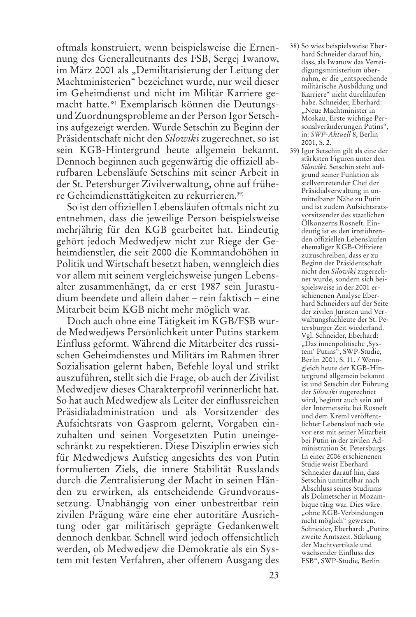oftmals konstruiert, wenn beispielsweise die Ernennung des Generalleutnants des FSB, Sergej Iwanow, im März 2001 als "Demilitarisierung der Leitung der Machtministerien" bezeichnet wurde, nur weil dieser im Geheimdienst und nicht im Militär Karriere gemacht hatte. 38) Exemplarisch können die Deutungsund Zuordnungsprobleme an der Person Igor Setschins aufgezeigt werden. Wurde Setschin zu Beginn der Präsidentschaft nicht den *Silowiki* zugerechnet, so ist sein KGB-Hintergrund heute allgemein bekannt. Dennoch beginnen auch gegenwärtig die offiziell abrufbaren Lebensläufe Setschins mit seiner Arbeit in der St. Petersburger Zivilverwaltung, ohne auf frühere Geheimdiensttätigkeiten zu rekurrieren. 39)

So ist den offiziellen Lebensläufen oftmals nicht zu entnehmen, dass die jeweilige Person beispielsweise mehrjährig für den KGB gearbeitet hat. Eindeutig gehört jedoch Medwedjew nicht zur Riege der Geheimdienstler, die seit 2000 die Kommandohöhen in Politik und Wirtschaft besetzt haben, wenngleich dies vor allem mit seinem vergleichsweise jungen Lebensalter zusammenhängt, da er erst 1987 sein Jurastudium beendete und allein daher – rein faktisch – eine Mitarbeit beim KGB nicht mehr möglich war.

Doch auch ohne eine Tätigkeit im KGB/FSB wurde Medwedjews Persönlichkeit unter Putins starkem Einfluss geformt. Während die Mitarbeiter des russischen Geheimdienstes und Militärs im Rahmen ihrer Sozialisation gelernt haben, Befehle loyal und strikt auszuführen, stellt sich die Frage, ob auch der Zivilist Medwedjew dieses Charakterprofil verinnerlicht hat. So hat auch Medwedjew als Leiter der einflussreichen Präsidialadministration und als Vorsitzender des Aufsichtsrats von Gasprom gelernt, Vorgaben einzuhalten und seinen Vorgesetzten Putin uneingeschränkt zu respektieren. Diese Disziplin erwies sich für Medwedjews Aufstieg angesichts des von Putin formulierten Ziels, die innere Stabilität Russlands durch die Zentralisierung der Macht in seinen Händen zu erwirken, als entscheidende Grundvoraussetzung. Unabhängig von einer unbestreitbar rein zivilen Prägung wäre eine eher autoritäre Ausrichtung oder gar militärisch geprägte Gedankenwelt dennoch denkbar. Schnell wird jedoch offensichtlich werden, ob Medwedjew die Demokratie als ein System mit festen Verfahren, aber offenem Ausgang des

- 38) So wies beispielsweise Eberhard Schneider darauf hin, dass, als Iwanow das Verteidigungsministerium übernahm, er die "entsprechende militärische Ausbildung und Karriere" nicht durchlaufen habe. Schneider, Eberhard: "Neue Machtminister in Moskau. Erste wichtige Personalveränderungen Putins", in: *SWP-Aktuell* 8, Berlin 2001, S. 2.
- 39) Igor Setschin gilt als eine der stärksten Figuren unter den *Silowiki.* Setschin steht aufgrund seiner Funktion als stellvertretender Chef der Präsidialverwaltung in unmittelbarer Nähe zu Putin und ist zudem Aufsichtsratsvorsitzender des staatlichen Ölkonzerns Rosneft. Eindeutig ist es den irreführenden offiziellen Lebensläufen ehemaliger KGB-Offiziere zuzuschreiben, dass er zu Beginn der Präsidentschaft nicht den *Silowiki* zugerechnet wurde, sondern sich beispielsweise in der 2001 erschienenen Analyse Eberhard Schneiders auf der Seite der zivilen Juristen und Verwaltungsfachleute der St. Petersburger Zeit wiederfand. Vgl. Schneider, Eberhard: "Das innenpolitische ,System' Putins", SWP-Studie, Berlin 2001, S. 11. / Wenngleich heute der KGB-Hintergrund allgemein bekannt ist und Setschin der Führung der *Silowiki* zugerechnet wird, beginnt auch sein auf der Internetseite bei Rosneft und dem Kreml veröffentlichter Lebenslauf nach wie vor erst mit seiner Mitarbeit bei Putin in der zivilen Administration St. Petersburgs. In einer 2006 erschienenen Studie weist Eberhard Schneider darauf hin, dass Setschin unmittelbar nach Abschluss seines Studiums als Dolmetscher in Mozambique tätig war. Dies wäre "ohne KGB-Verbindungen nicht möglich" gewesen. Schneider, Eberhard: "Putins zweite Amtszeit. Stärkung der Machtvertikale und wachsender Einfluss des FSB", SWP-Studie, Berlin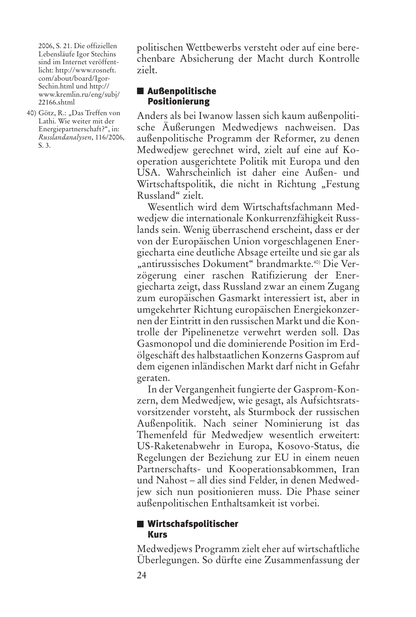2006, S. 21. Die offiziellen Lebensläufe Igor Stechins sind im Internet veröffentlicht: http://www.rosneft. com/about/board/Igor-Sechin.html und http:// www.kremlin.ru/eng/subj/ 22166.shtml

40) Götz, R.: "Das Treffen von Lathi. Wie weiter mit der Energiepartnerschaft?", in: *Russlandanalysen*, 116/2006, S. 3.

politischen Wettbewerbs versteht oder auf eine berechenbare Absicherung der Macht durch Kontrolle zielt.

## **Außenpolitische Positionierung**

Anders als bei Iwanow lassen sich kaum außenpolitische Äußerungen Medwedjews nachweisen. Das außenpolitische Programm der Reformer, zu denen Medwedjew gerechnet wird, zielt auf eine auf Kooperation ausgerichtete Politik mit Europa und den USA. Wahrscheinlich ist daher eine Außen- und Wirtschaftspolitik, die nicht in Richtung "Festung Russland" zielt.

Wesentlich wird dem Wirtschaftsfachmann Medwedjew die internationale Konkurrenzfähigkeit Russlands sein. Wenig überraschend erscheint, dass er der von der Europäischen Union vorgeschlagenen Energiecharta eine deutliche Absage erteilte und sie gar als "antirussisches Dokument" brandmarkte.<sup>40)</sup> Die Verzögerung einer raschen Ratifizierung der Energiecharta zeigt, dass Russland zwar an einem Zugang zum europäischen Gasmarkt interessiert ist, aber in umgekehrter Richtung europäischen Energiekonzernen der Eintritt in den russischen Markt und die Kontrolle der Pipelinenetze verwehrt werden soll. Das Gasmonopol und die dominierende Position im Erdölgeschäft des halbstaatlichen Konzerns Gasprom auf dem eigenen inländischen Markt darf nicht in Gefahr geraten.

In der Vergangenheit fungierte der Gasprom-Konzern, dem Medwedjew, wie gesagt, als Aufsichtsratsvorsitzender vorsteht, als Sturmbock der russischen Außenpolitik. Nach seiner Nominierung ist das Themenfeld für Medwedjew wesentlich erweitert: US-Raketenabwehr in Europa, Kosovo-Status, die Regelungen der Beziehung zur EU in einem neuen Partnerschafts- und Kooperationsabkommen, Iran und Nahost – all dies sind Felder, in denen Medwedjew sich nun positionieren muss. Die Phase seiner außenpolitischen Enthaltsamkeit ist vorbei.

## **Wirtschafspolitischer Kurs**

Medwedjews Programm zielt eher auf wirtschaftliche Überlegungen. So dürfte eine Zusammenfassung der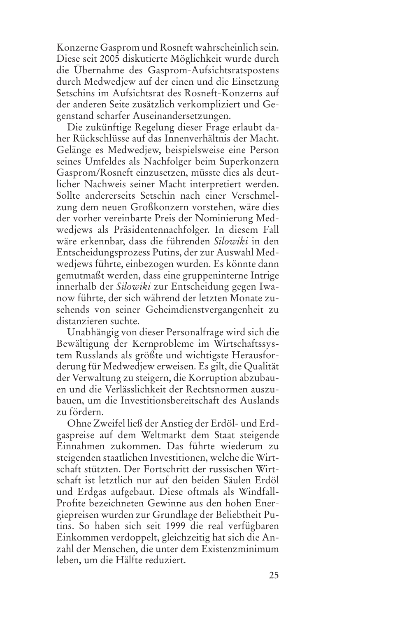Konzerne Gasprom und Rosneft wahrscheinlich sein. Diese seit 2005 diskutierte Möglichkeit wurde durch die Übernahme des Gasprom-Aufsichtsratspostens durch Medwedjew auf der einen und die Einsetzung Setschins im Aufsichtsrat des Rosneft-Konzerns auf der anderen Seite zusätzlich verkompliziert und Gegenstand scharfer Auseinandersetzungen.

Die zukünftige Regelung dieser Frage erlaubt daher Rückschlüsse auf das Innenverhältnis der Macht. Gelänge es Medwedjew, beispielsweise eine Person seines Umfeldes als Nachfolger beim Superkonzern Gasprom/Rosneft einzusetzen, müsste dies als deutlicher Nachweis seiner Macht interpretiert werden. Sollte andererseits Setschin nach einer Verschmelzung dem neuen Großkonzern vorstehen, wäre dies der vorher vereinbarte Preis der Nominierung Medwedjews als Präsidentennachfolger. In diesem Fall wäre erkennbar, dass die führenden *Silowiki* in den Entscheidungsprozess Putins, der zur Auswahl Medwedjews führte, einbezogen wurden. Es könnte dann gemutmaßt werden, dass eine gruppeninterne Intrige innerhalb der *Silowiki* zur Entscheidung gegen Iwanow führte, der sich während der letzten Monate zusehends von seiner Geheimdienstvergangenheit zu distanzieren suchte.

Unabhängig von dieser Personalfrage wird sich die Bewältigung der Kernprobleme im Wirtschaftssystem Russlands als größte und wichtigste Herausforderung für Medwedjew erweisen. Es gilt, die Qualität der Verwaltung zu steigern, die Korruption abzubauen und die Verlässlichkeit der Rechtsnormen auszubauen, um die Investitionsbereitschaft des Auslands zu fördern.

Ohne Zweifel ließ der Anstieg der Erdöl- und Erdgaspreise auf dem Weltmarkt dem Staat steigende Einnahmen zukommen. Das führte wiederum zu steigenden staatlichen Investitionen, welche die Wirtschaft stützten. Der Fortschritt der russischen Wirtschaft ist letztlich nur auf den beiden Säulen Erdöl und Erdgas aufgebaut. Diese oftmals als Windfall-Profite bezeichneten Gewinne aus den hohen Energiepreisen wurden zur Grundlage der Beliebtheit Putins. So haben sich seit 1999 die real verfügbaren Einkommen verdoppelt, gleichzeitig hat sich die Anzahl der Menschen, die unter dem Existenzminimum leben, um die Hälfte reduziert.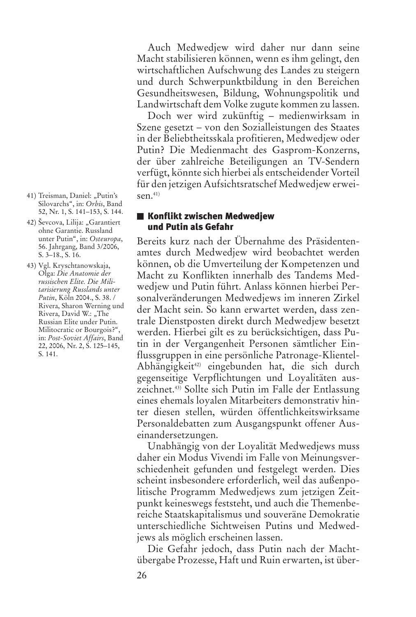und durch Schwerpunktbildung in den Bereichen Gesundheitswesen, Bildung, Wohnungspolitik und Landwirtschaft dem Volke zugute kommen zu lassen. Doch wer wird zukünftig – medienwirksam in

Szene gesetzt – von den Sozialleistungen des Staates in der Beliebtheitsskala profitieren, Medwedjew oder Putin? Die Medienmacht des Gasprom-Konzerns, der über zahlreiche Beteiligungen an TV-Sendern verfügt, könnte sich hierbei als entscheidender Vorteil für den jetzigen Aufsichtsratschef Medwedjew erweisen. 41)

Auch Medwedjew wird daher nur dann seine Macht stabilisieren können, wenn es ihm gelingt, den wirtschaftlichen Aufschwung des Landes zu steigern

#### **Konflikt zwischen Medwedjew und Putin als Gefahr**

Bereits kurz nach der Übernahme des Präsidentenamtes durch Medwedjew wird beobachtet werden können, ob die Umverteilung der Kompetenzen und Macht zu Konflikten innerhalb des Tandems Medwedjew und Putin führt. Anlass können hierbei Personalveränderungen Medwedjews im inneren Zirkel der Macht sein. So kann erwartet werden, dass zentrale Dienstposten direkt durch Medwedjew besetzt werden. Hierbei gilt es zu berücksichtigen, dass Putin in der Vergangenheit Personen sämtlicher Einflussgruppen in eine persönliche Patronage-Klientel-Abhängigkeit 42) eingebunden hat, die sich durch gegenseitige Verpflichtungen und Loyalitäten auszeichnet. 43) Sollte sich Putin im Falle der Entlassung eines ehemals loyalen Mitarbeiters demonstrativ hinter diesen stellen, würden öffentlichkeitswirksame Personaldebatten zum Ausgangspunkt offener Auseinandersetzungen.

Unabhängig von der Loyalität Medwedjews muss daher ein Modus Vivendi im Falle von Meinungsverschiedenheit gefunden und festgelegt werden. Dies scheint insbesondere erforderlich, weil das außenpolitische Programm Medwedjews zum jetzigen Zeitpunkt keineswegs feststeht, und auch die Themenbereiche Staatskapitalismus und souveräne Demokratie unterschiedliche Sichtweisen Putins und Medwedjews als möglich erscheinen lassen.

Die Gefahr jedoch, dass Putin nach der Machtübergabe Prozesse, Haft und Ruin erwarten, ist über-

- 41) Treisman, Daniel: "Putin's Silovarchs", in: *Orbis*, Band 52, Nr. 1, S. 141–153, S. 144.
- 42) Ševcova, Lilija: "Garantiert ohne Garantie. Russland unter Putin", in: *Osteuropa*, 56. Jahrgang, Band 3/2006, S. 3–18., S. 16.
- 43) Vgl. Kryschtanowskaja, Olga: *Die Anatomie der russischen Elite. Die Militarisierung Russlands unter Putin*, Köln 2004., S. 38. / Rivera, Sharon Werning und Rivera, David W.: "The Russian Elite under Putin. Militocratic or Bourgois?", in: *Post-Soviet Affairs*, Band 22, 2006, Nr. 2, S. 125–145, S. 141.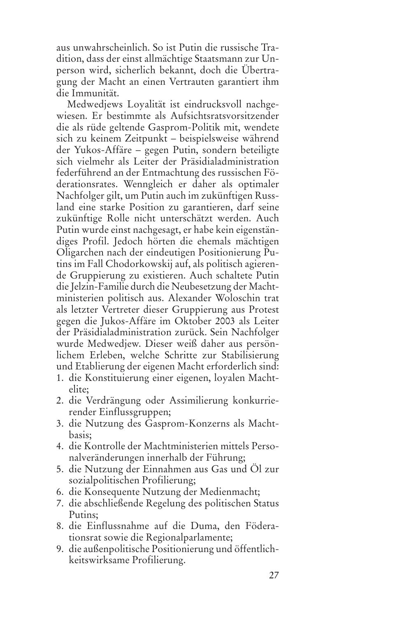aus unwahrscheinlich. So ist Putin die russische Tradition, dass der einst allmächtige Staatsmann zur Unperson wird, sicherlich bekannt, doch die Übertragung der Macht an einen Vertrauten garantiert ihm die Immunität.

Medwedjews Loyalität ist eindrucksvoll nachgewiesen. Er bestimmte als Aufsichtsratsvorsitzender die als rüde geltende Gasprom-Politik mit, wendete sich zu keinem Zeitpunkt – beispielsweise während der Yukos-Affäre – gegen Putin, sondern beteiligte sich vielmehr als Leiter der Präsidialadministration federführend an der Entmachtung des russischen Föderationsrates. Wenngleich er daher als optimaler Nachfolger gilt, um Putin auch im zukünftigen Russland eine starke Position zu garantieren, darf seine zukünftige Rolle nicht unterschätzt werden. Auch Putin wurde einst nachgesagt, er habe kein eigenständiges Profil. Jedoch hörten die ehemals mächtigen Oligarchen nach der eindeutigen Positionierung Putins im Fall Chodorkowskij auf, als politisch agierende Gruppierung zu existieren. Auch schaltete Putin die Jelzin-Familie durch die Neubesetzung der Machtministerien politisch aus. Alexander Woloschin trat als letzter Vertreter dieser Gruppierung aus Protest gegen die Jukos-Affäre im Oktober 2003 als Leiter der Präsidialadministration zurück. Sein Nachfolger wurde Medwedjew. Dieser weiß daher aus persönlichem Erleben, welche Schritte zur Stabilisierung und Etablierung der eigenen Macht erforderlich sind:

- 1. die Konstituierung einer eigenen, loyalen Machtelite;
- 2. die Verdrängung oder Assimilierung konkurrierender Einflussgruppen;
- 3. die Nutzung des Gasprom-Konzerns als Machtbasis;
- 4. die Kontrolle der Machtministerien mittels Personalveränderungen innerhalb der Führung;
- 5. die Nutzung der Einnahmen aus Gas und Öl zur sozialpolitischen Profilierung;
- 6. die Konsequente Nutzung der Medienmacht;
- 7. die abschließende Regelung des politischen Status Putins;
- 8. die Einflussnahme auf die Duma, den Föderationsrat sowie die Regionalparlamente;
- 9. die außenpolitische Positionierung und öffentlichkeitswirksame Profilierung.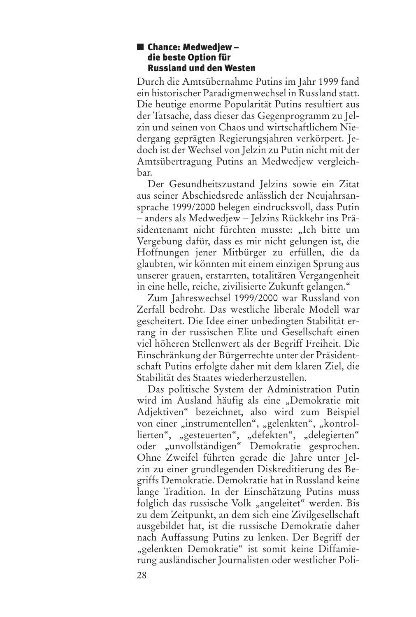#### **Chance: Medwedjew – die beste Option für Russland und den Westen**

Durch die Amtsübernahme Putins im Jahr 1999 fand ein historischer Paradigmenwechsel in Russland statt. Die heutige enorme Popularität Putins resultiert aus der Tatsache, dass dieser das Gegenprogramm zu Jelzin und seinen von Chaos und wirtschaftlichem Niedergang geprägten Regierungsjahren verkörpert. Jedoch ist der Wechsel von Jelzin zu Putin nicht mit der Amtsübertragung Putins an Medwedjew vergleichbar.

Der Gesundheitszustand Jelzins sowie ein Zitat aus seiner Abschiedsrede anlässlich der Neujahrsansprache 1999/2000 belegen eindrucksvoll, dass Putin – anders als Medwedjew – Jelzins Rückkehr ins Präsidentenamt nicht fürchten musste: "Ich bitte um Vergebung dafür, dass es mir nicht gelungen ist, die Hoffnungen jener Mitbürger zu erfüllen, die da glaubten, wir könnten mit einem einzigen Sprung aus unserer grauen, erstarrten, totalitären Vergangenheit in eine helle, reiche, zivilisierte Zukunft gelangen."

Zum Jahreswechsel 1999/2000 war Russland von Zerfall bedroht. Das westliche liberale Modell war gescheitert. Die Idee einer unbedingten Stabilität errang in der russischen Elite und Gesellschaft einen viel höheren Stellenwert als der Begriff Freiheit. Die Einschränkung der Bürgerrechte unter der Präsidentschaft Putins erfolgte daher mit dem klaren Ziel, die Stabilität des Staates wiederherzustellen.

Das politische System der Administration Putin wird im Ausland häufig als eine "Demokratie mit Adjektiven" bezeichnet, also wird zum Beispiel von einer "instrumentellen", "gelenkten", "kontrollierten", "gesteuerten", "defekten", "delegierten" oder "unvollständigen" Demokratie gesprochen. Ohne Zweifel führten gerade die Jahre unter Jelzin zu einer grundlegenden Diskreditierung des Begriffs Demokratie. Demokratie hat in Russland keine lange Tradition. In der Einschätzung Putins muss folglich das russische Volk "angeleitet" werden. Bis zu dem Zeitpunkt, an dem sich eine Zivilgesellschaft ausgebildet hat, ist die russische Demokratie daher nach Auffassung Putins zu lenken. Der Begriff der "gelenkten Demokratie" ist somit keine Diffamierung ausländischer Journalisten oder westlicher Poli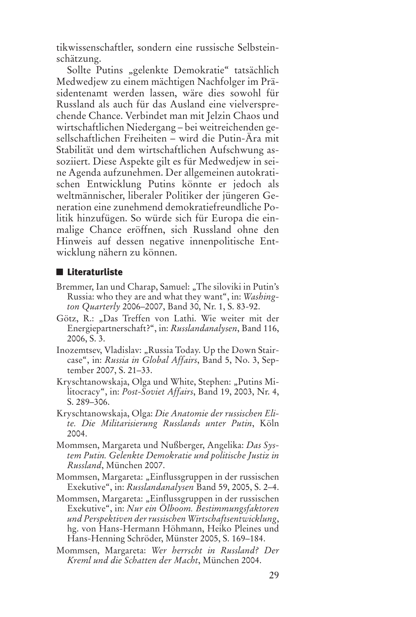tikwissenschaftler, sondern eine russische Selbsteinschätzung.

Sollte Putins "gelenkte Demokratie" tatsächlich Medwedjew zu einem mächtigen Nachfolger im Präsidentenamt werden lassen, wäre dies sowohl für Russland als auch für das Ausland eine vielversprechende Chance. Verbindet man mit Jelzin Chaos und wirtschaftlichen Niedergang – bei weitreichenden gesellschaftlichen Freiheiten – wird die Putin-Ära mit Stabilität und dem wirtschaftlichen Aufschwung assoziiert. Diese Aspekte gilt es für Medwedjew in seine Agenda aufzunehmen. Der allgemeinen autokratischen Entwicklung Putins könnte er jedoch als weltmännischer, liberaler Politiker der jüngeren Generation eine zunehmend demokratiefreundliche Politik hinzufügen. So würde sich für Europa die einmalige Chance eröffnen, sich Russland ohne den Hinweis auf dessen negative innenpolitische Entwicklung nähern zu können.

#### **Literaturliste**

- Bremmer, Ian und Charap, Samuel: "The siloviki in Putin's Russia: who they are and what they want", in: *Washington Quarterly* 2006–2007, Band 30, Nr. 1, S. 83-92.
- Götz, R.: "Das Treffen von Lathi. Wie weiter mit der Energiepartnerschaft?", in: *Russlandanalysen*, Band 116, 2006, S. 3.
- Inozemtsev, Vladislav: "Russia Today. Up the Down Staircase", in: *Russia in Global Affairs*, Band 5, No. 3, September 2007, S. 21–33.
- Kryschtanowskaja, Olga und White, Stephen: "Putins Militocracy", in: *Post-Soviet Affairs*, Band 19, 2003, Nr. 4, S. 289–306.
- Kryschtanowskaja, Olga: *Die Anatomie der russischen Elite. Die Militarisierung Russlands unter Putin*, Köln 2004.
- Mommsen, Margareta und Nußberger, Angelika: *Das System Putin. Gelenkte Demokratie und politische Justiz in Russland*, München 2007.
- Mommsen, Margareta: "Einflussgruppen in der russischen Exekutive", in: *Russlandanalysen* Band 59, 2005, S. 2–4.
- Mommsen, Margareta: "Einflussgruppen in der russischen Exekutive", in: *Nur ein Ölboom. Bestimmungsfaktoren und Perspektiven derrussischen Wirtschaftsentwicklung*, hg. von Hans-Hermann Höhmann, Heiko Pleines und Hans-Henning Schröder, Münster 2005, S. 169–184.
- Mommsen, Margareta: *Wer herrscht in Russland? Der Kreml und die Schatten der Macht*, München 2004.